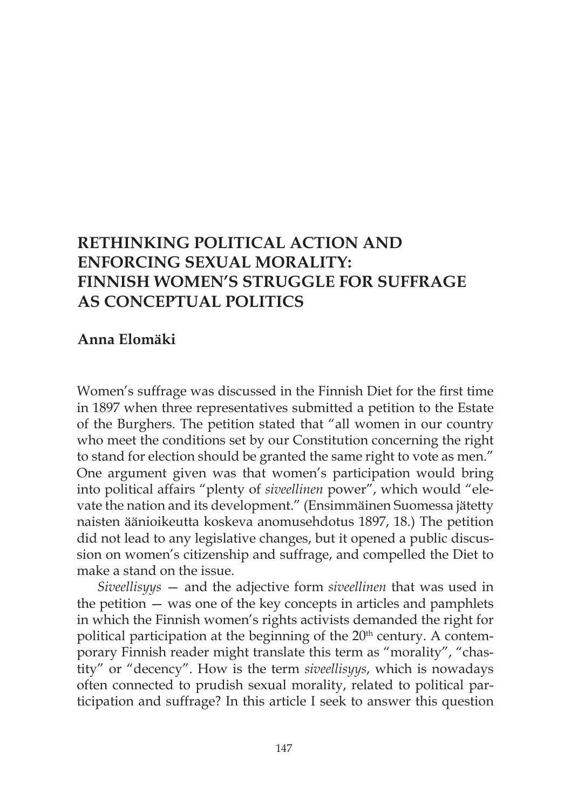# **RETHINKING POLITICAL ACTION AND ENFORCING SEXUAL MORALITY: FINNISH WOMEN'S STRUGGLE FOR SUFFRAGE AS CONCEPTUAL POLITICS**

# **Anna Elomäki**

Women's suffrage was discussed in the Finnish Diet for the first time in 1897 when three representatives submitted a petition to the Estate of the Burghers. The petition stated that "all women in our country who meet the conditions set by our Constitution concerning the right to stand for election should be granted the same right to vote as men." One argument given was that women's participation would bring into political affairs "plenty of *siveellinen* power", which would "elevate the nation and its development." (Ensimmäinen Suomessa jätetty naisten äänioikeutta koskeva anomusehdotus 1897, 18.) The petition did not lead to any legislative changes, but it opened a public discussion on women's citizenship and suffrage, and compelled the Diet to make a stand on the issue.

*Siveellisyys* — and the adjective form *siveellinen* that was used in the petition — was one of the key concepts in articles and pamphlets in which the Finnish women's rights activists demanded the right for political participation at the beginning of the  $20<sup>th</sup>$  century. A contemporary Finnish reader might translate this term as "morality", "chastity" or "decency". How is the term *siveellisyys*, which is nowadays often connected to prudish sexual morality, related to political participation and suffrage? In this article I seek to answer this question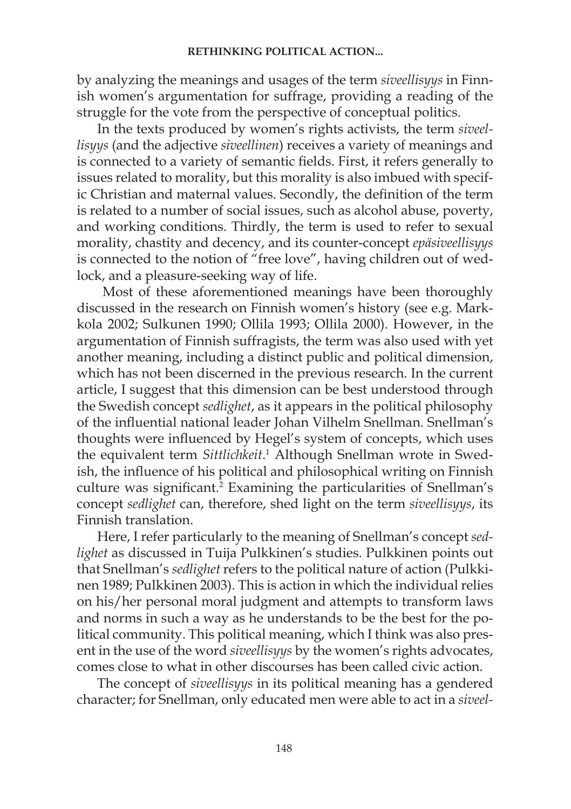by analyzing the meanings and usages of the term *siveellisyys* in Finnish women's argumentation for suffrage, providing a reading of the struggle for the vote from the perspective of conceptual politics.

In the texts produced by women's rights activists, the term *siveellisyys* (and the adjective *siveellinen*) receives a variety of meanings and is connected to a variety of semantic fields. First, it refers generally to issues related to morality, but this morality is also imbued with specific Christian and maternal values. Secondly, the definition of the term is related to a number of social issues, such as alcohol abuse, poverty, and working conditions. Thirdly, the term is used to refer to sexual morality, chastity and decency, and its counter-concept *epäsiveellisyys* is connected to the notion of "free love", having children out of wedlock, and a pleasure-seeking way of life.

 Most of these aforementioned meanings have been thoroughly discussed in the research on Finnish women's history (see e.g. Markkola 2002; Sulkunen 1990; Ollila 1993; Ollila 2000). However, in the argumentation of Finnish suffragists, the term was also used with yet another meaning, including a distinct public and political dimension, which has not been discerned in the previous research. In the current article, I suggest that this dimension can be best understood through the Swedish concept *sedlighet*, as it appears in the political philosophy of the influential national leader Johan Vilhelm Snellman. Snellman's thoughts were influenced by Hegel's system of concepts, which uses the equivalent term *Sittlichkeit*.<sup>1</sup> Although Snellman wrote in Swedish, the influence of his political and philosophical writing on Finnish culture was significant.<sup>2</sup> Examining the particularities of Snellman's concept *sedlighet* can, therefore, shed light on the term *siveellisyys*, its Finnish translation.

Here, I refer particularly to the meaning of Snellman's concept *sedlighet* as discussed in Tuija Pulkkinen's studies. Pulkkinen points out that Snellman's *sedlighet* refers to the political nature of action (Pulkkinen 1989; Pulkkinen 2003). This is action in which the individual relies on his/her personal moral judgment and attempts to transform laws and norms in such a way as he understands to be the best for the political community. This political meaning, which I think was also present in the use of the word *siveellisyys* by the women's rights advocates, comes close to what in other discourses has been called civic action.

The concept of *siveellisyys* in its political meaning has a gendered character; for Snellman, only educated men were able to act in a *siveel-*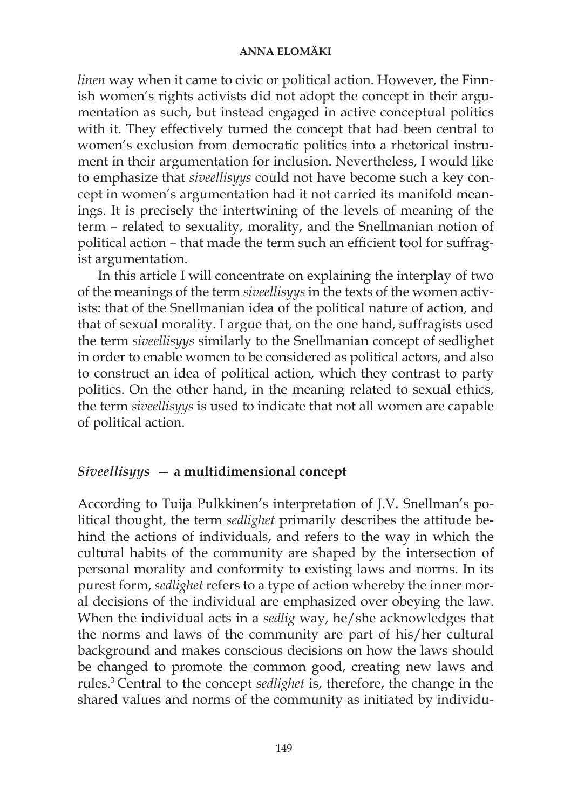*linen* way when it came to civic or political action. However, the Finnish women's rights activists did not adopt the concept in their argumentation as such, but instead engaged in active conceptual politics with it. They effectively turned the concept that had been central to women's exclusion from democratic politics into a rhetorical instrument in their argumentation for inclusion. Nevertheless, I would like to emphasize that *siveellisyys* could not have become such a key concept in women's argumentation had it not carried its manifold meanings. It is precisely the intertwining of the levels of meaning of the term – related to sexuality, morality, and the Snellmanian notion of political action – that made the term such an efficient tool for suffragist argumentation.

In this article I will concentrate on explaining the interplay of two of the meanings of the term *siveellisyys* in the texts of the women activists: that of the Snellmanian idea of the political nature of action, and that of sexual morality. I argue that, on the one hand, suffragists used the term *siveellisyys* similarly to the Snellmanian concept of sedlighet in order to enable women to be considered as political actors, and also to construct an idea of political action, which they contrast to party politics. On the other hand, in the meaning related to sexual ethics, the term *siveellisyys* is used to indicate that not all women are capable of political action.

# *Siveellisyys*— **a multidimensional concept**

According to Tuija Pulkkinen's interpretation of J.V. Snellman's political thought, the term *sedlighet* primarily describes the attitude behind the actions of individuals, and refers to the way in which the cultural habits of the community are shaped by the intersection of personal morality and conformity to existing laws and norms. In its purest form, *sedlighet* refers to a type of action whereby the inner moral decisions of the individual are emphasized over obeying the law. When the individual acts in a *sedlig* way, he/she acknowledges that the norms and laws of the community are part of his/her cultural background and makes conscious decisions on how the laws should be changed to promote the common good, creating new laws and rules.3 Central to the concept *sedlighet* is, therefore, the change in the shared values and norms of the community as initiated by individu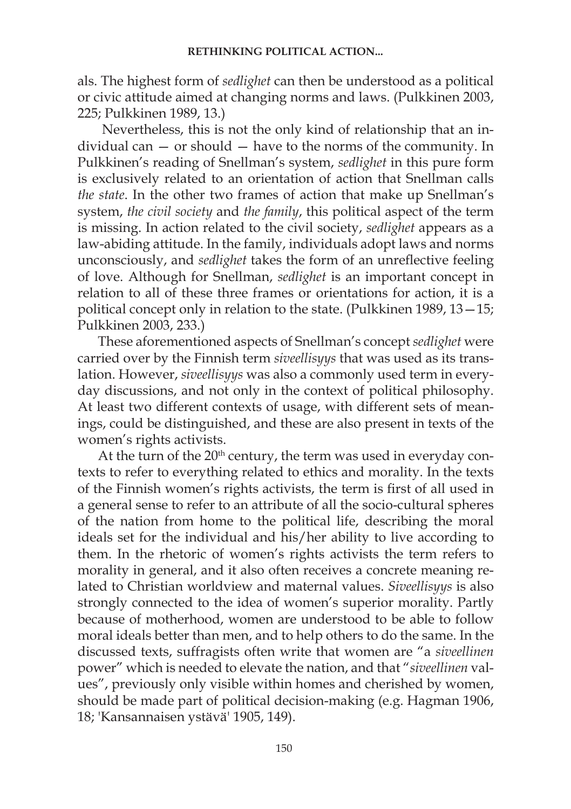als. The highest form of *sedlighet* can then be understood as a political or civic attitude aimed at changing norms and laws. (Pulkkinen 2003, 225; Pulkkinen 1989, 13.)

 Nevertheless, this is not the only kind of relationship that an individual can — or should — have to the norms of the community. In Pulkkinen's reading of Snellman's system, *sedlighet* in this pure form is exclusively related to an orientation of action that Snellman calls *the state*. In the other two frames of action that make up Snellman's system, *the civil society* and *the family*, this political aspect of the term is missing. In action related to the civil society, *sedlighet* appears as a law-abiding attitude. In the family, individuals adopt laws and norms unconsciously, and *sedlighet* takes the form of an unreflective feeling of love. Although for Snellman, *sedlighet* is an important concept in relation to all of these three frames or orientations for action, it is a political concept only in relation to the state. (Pulkkinen 1989, 13—15; Pulkkinen 2003, 233.)

These aforementioned aspects of Snellman's concept *sedlighet* were carried over by the Finnish term *siveellisyys* that was used as its translation. However, *siveellisyys* was also a commonly used term in everyday discussions, and not only in the context of political philosophy. At least two different contexts of usage, with different sets of meanings, could be distinguished, and these are also present in texts of the women's rights activists.

At the turn of the  $20<sup>th</sup>$  century, the term was used in everyday contexts to refer to everything related to ethics and morality. In the texts of the Finnish women's rights activists, the term is first of all used in a general sense to refer to an attribute of all the socio-cultural spheres of the nation from home to the political life, describing the moral ideals set for the individual and his/her ability to live according to them. In the rhetoric of women's rights activists the term refers to morality in general, and it also often receives a concrete meaning related to Christian worldview and maternal values. *Siveellisyys* is also strongly connected to the idea of women's superior morality. Partly because of motherhood, women are understood to be able to follow moral ideals better than men, and to help others to do the same. In the discussed texts, suffragists often write that women are "a *siveellinen* power" which is needed to elevate the nation, and that "*siveellinen* values", previously only visible within homes and cherished by women, should be made part of political decision-making (e.g. Hagman 1906, 18; 'Kansannaisen ystävä' 1905, 149).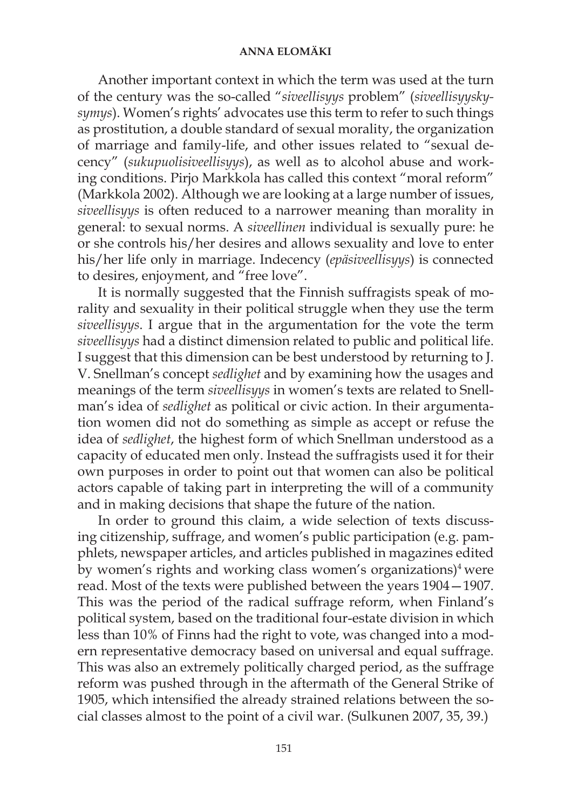Another important context in which the term was used at the turn of the century was the so-called "*siveellisyys* problem" (*siveellisyyskysymys*). Women's rights' advocates use this term to refer to such things as prostitution, a double standard of sexual morality, the organization of marriage and family-life, and other issues related to "sexual decency" (*sukupuolisiveellisyys*), as well as to alcohol abuse and working conditions. Pirjo Markkola has called this context "moral reform" (Markkola 2002). Although we are looking at a large number of issues, *siveellisyys* is often reduced to a narrower meaning than morality in general: to sexual norms. A *siveellinen* individual is sexually pure: he or she controls his/her desires and allows sexuality and love to enter his/her life only in marriage. Indecency (*epäsiveellisyys*) is connected to desires, enjoyment, and "free love".

It is normally suggested that the Finnish suffragists speak of morality and sexuality in their political struggle when they use the term *siveellisyys*. I argue that in the argumentation for the vote the term *siveellisyys* had a distinct dimension related to public and political life. I suggest that this dimension can be best understood by returning to J. V. Snellman's concept *sedlighet* and by examining how the usages and meanings of the term *siveellisyys* in women's texts are related to Snellman's idea of *sedlighet* as political or civic action. In their argumentation women did not do something as simple as accept or refuse the idea of *sedlighet*, the highest form of which Snellman understood as a capacity of educated men only. Instead the suffragists used it for their own purposes in order to point out that women can also be political actors capable of taking part in interpreting the will of a community and in making decisions that shape the future of the nation.

In order to ground this claim, a wide selection of texts discussing citizenship, suffrage, and women's public participation (e.g. pamphlets, newspaper articles, and articles published in magazines edited by women's rights and working class women's organizations)<sup>4</sup> were read. Most of the texts were published between the years 1904—1907. This was the period of the radical suffrage reform, when Finland's political system, based on the traditional four-estate division in which less than 10% of Finns had the right to vote, was changed into a modern representative democracy based on universal and equal suffrage. This was also an extremely politically charged period, as the suffrage reform was pushed through in the aftermath of the General Strike of 1905, which intensified the already strained relations between the social classes almost to the point of a civil war. (Sulkunen 2007, 35, 39.)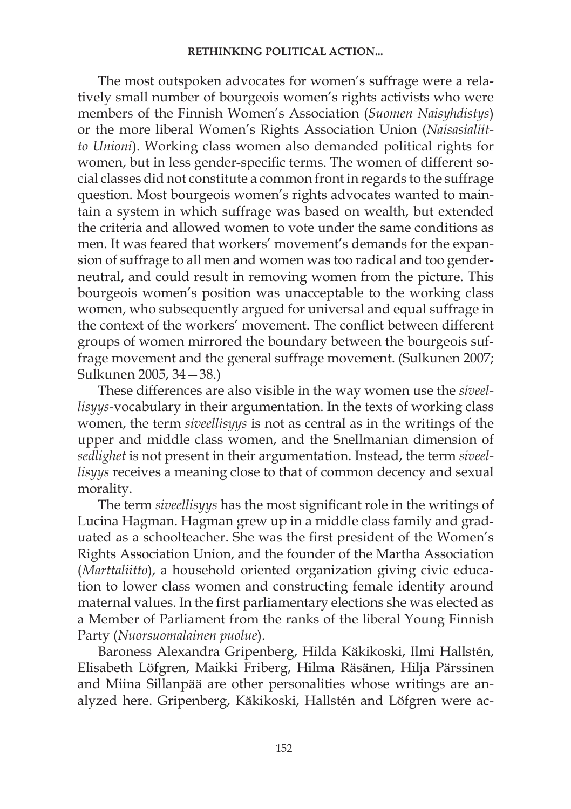#### **RETHINKING POLITICAL ACTION...**

The most outspoken advocates for women's suffrage were a relatively small number of bourgeois women's rights activists who were members of the Finnish Women's Association (*Suomen Naisyhdistys*) or the more liberal Women's Rights Association Union (*Naisasialiitto Unioni*). Working class women also demanded political rights for women, but in less gender-specific terms. The women of different social classes did not constitute a common front in regards to the suffrage question. Most bourgeois women's rights advocates wanted to maintain a system in which suffrage was based on wealth, but extended the criteria and allowed women to vote under the same conditions as men. It was feared that workers' movement's demands for the expansion of suffrage to all men and women was too radical and too genderneutral, and could result in removing women from the picture. This bourgeois women's position was unacceptable to the working class women, who subsequently argued for universal and equal suffrage in the context of the workers' movement. The conflict between different groups of women mirrored the boundary between the bourgeois suffrage movement and the general suffrage movement. (Sulkunen 2007; Sulkunen 2005, 34—38.)

These differences are also visible in the way women use the *siveellisyys*-vocabulary in their argumentation. In the texts of working class women, the term *siveellisyys* is not as central as in the writings of the upper and middle class women, and the Snellmanian dimension of *sedlighet* is not present in their argumentation. Instead, the term *siveellisyys* receives a meaning close to that of common decency and sexual morality.

The term *siveellisyys* has the most significant role in the writings of Lucina Hagman. Hagman grew up in a middle class family and graduated as a schoolteacher. She was the first president of the Women's Rights Association Union, and the founder of the Martha Association (*Marttaliitto*), a household oriented organization giving civic education to lower class women and constructing female identity around maternal values. In the first parliamentary elections she was elected as a Member of Parliament from the ranks of the liberal Young Finnish Party (*Nuorsuomalainen puolue*).

Baroness Alexandra Gripenberg, Hilda Käkikoski, Ilmi Hallstén, Elisabeth Löfgren, Maikki Friberg, Hilma Räsänen, Hilja Pärssinen and Miina Sillanpää are other personalities whose writings are analyzed here. Gripenberg, Käkikoski, Hallstén and Löfgren were ac-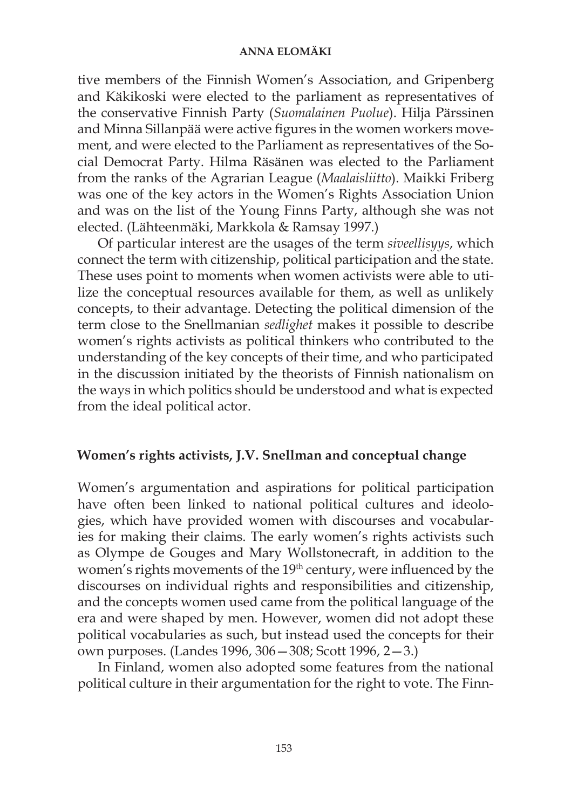tive members of the Finnish Women's Association, and Gripenberg and Käkikoski were elected to the parliament as representatives of the conservative Finnish Party (*Suomalainen Puolue*). Hilja Pärssinen and Minna Sillanpää were active figures in the women workers movement, and were elected to the Parliament as representatives of the Social Democrat Party. Hilma Räsänen was elected to the Parliament from the ranks of the Agrarian League (*Maalaisliitto*). Maikki Friberg was one of the key actors in the Women's Rights Association Union and was on the list of the Young Finns Party, although she was not elected. (Lähteenmäki, Markkola & Ramsay 1997.)

Of particular interest are the usages of the term *siveellisyys*, which connect the term with citizenship, political participation and the state. These uses point to moments when women activists were able to utilize the conceptual resources available for them, as well as unlikely concepts, to their advantage. Detecting the political dimension of the term close to the Snellmanian *sedlighet* makes it possible to describe women's rights activists as political thinkers who contributed to the understanding of the key concepts of their time, and who participated in the discussion initiated by the theorists of Finnish nationalism on the ways in which politics should be understood and what is expected from the ideal political actor.

# **Women's rights activists, J.V. Snellman and conceptual change**

Women's argumentation and aspirations for political participation have often been linked to national political cultures and ideologies, which have provided women with discourses and vocabularies for making their claims. The early women's rights activists such as Olympe de Gouges and Mary Wollstonecraft, in addition to the women's rights movements of the 19<sup>th</sup> century, were influenced by the discourses on individual rights and responsibilities and citizenship, and the concepts women used came from the political language of the era and were shaped by men. However, women did not adopt these political vocabularies as such, but instead used the concepts for their own purposes. (Landes 1996, 306—308; Scott 1996, 2—3.)

In Finland, women also adopted some features from the national political culture in their argumentation for the right to vote. The Finn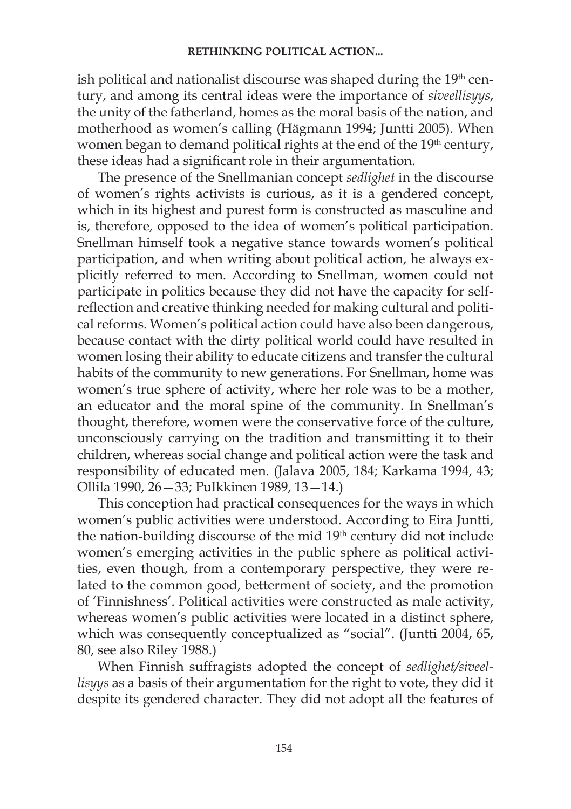ish political and nationalist discourse was shaped during the 19<sup>th</sup> century, and among its central ideas were the importance of *siveellisyys*, the unity of the fatherland, homes as the moral basis of the nation, and motherhood as women's calling (Hägmann 1994; Juntti 2005). When women began to demand political rights at the end of the 19<sup>th</sup> century, these ideas had a significant role in their argumentation.

The presence of the Snellmanian concept *sedlighet* in the discourse of women's rights activists is curious, as it is a gendered concept, which in its highest and purest form is constructed as masculine and is, therefore, opposed to the idea of women's political participation. Snellman himself took a negative stance towards women's political participation, and when writing about political action, he always explicitly referred to men. According to Snellman, women could not participate in politics because they did not have the capacity for selfreflection and creative thinking needed for making cultural and political reforms. Women's political action could have also been dangerous, because contact with the dirty political world could have resulted in women losing their ability to educate citizens and transfer the cultural habits of the community to new generations. For Snellman, home was women's true sphere of activity, where her role was to be a mother, an educator and the moral spine of the community. In Snellman's thought, therefore, women were the conservative force of the culture, unconsciously carrying on the tradition and transmitting it to their children, whereas social change and political action were the task and responsibility of educated men. (Jalava 2005, 184; Karkama 1994, 43; Ollila 1990, 26—33; Pulkkinen 1989, 13—14.)

This conception had practical consequences for the ways in which women's public activities were understood. According to Eira Juntti, the nation-building discourse of the mid 19<sup>th</sup> century did not include women's emerging activities in the public sphere as political activities, even though, from a contemporary perspective, they were related to the common good, betterment of society, and the promotion of 'Finnishness'. Political activities were constructed as male activity, whereas women's public activities were located in a distinct sphere, which was consequently conceptualized as "social". (Juntti 2004, 65, 80, see also Riley 1988.)

When Finnish suffragists adopted the concept of *sedlighet/siveellisyys* as a basis of their argumentation for the right to vote, they did it despite its gendered character. They did not adopt all the features of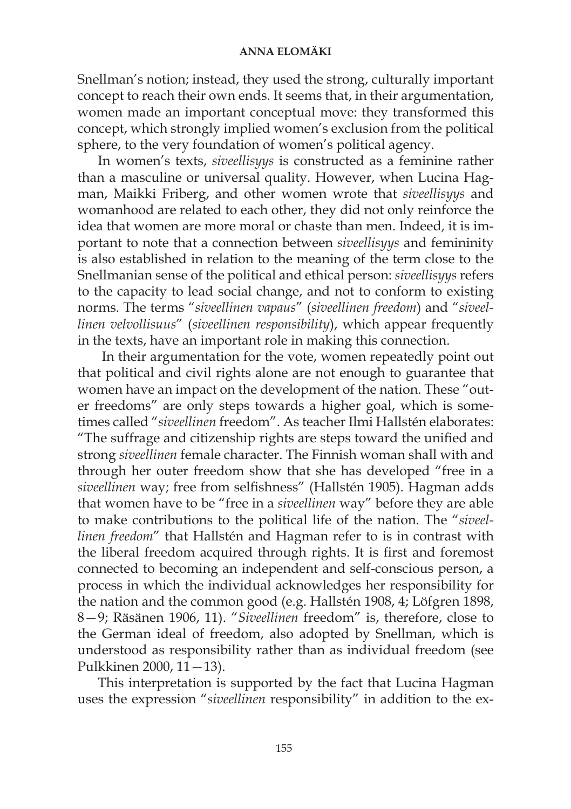Snellman's notion; instead, they used the strong, culturally important concept to reach their own ends. It seems that, in their argumentation, women made an important conceptual move: they transformed this concept, which strongly implied women's exclusion from the political sphere, to the very foundation of women's political agency.

In women's texts, *siveellisyys* is constructed as a feminine rather than a masculine or universal quality. However, when Lucina Hagman, Maikki Friberg, and other women wrote that *siveellisyys* and womanhood are related to each other, they did not only reinforce the idea that women are more moral or chaste than men. Indeed, it is important to note that a connection between *siveellisyys* and femininity is also established in relation to the meaning of the term close to the Snellmanian sense of the political and ethical person: *siveellisyys* refers to the capacity to lead social change, and not to conform to existing norms. The terms "*siveellinen vapaus*" (*siveellinen freedom*) and "*siveellinen velvollisuus*" (*siveellinen responsibility*), which appear frequently in the texts, have an important role in making this connection.

 In their argumentation for the vote, women repeatedly point out that political and civil rights alone are not enough to guarantee that women have an impact on the development of the nation. These "outer freedoms" are only steps towards a higher goal, which is sometimes called "*siveellinen* freedom". As teacher Ilmi Hallstén elaborates: "The suffrage and citizenship rights are steps toward the unified and strong *siveellinen* female character. The Finnish woman shall with and through her outer freedom show that she has developed "free in a *siveellinen* way; free from selfishness" (Hallstén 1905). Hagman adds that women have to be "free in a *siveellinen* way" before they are able to make contributions to the political life of the nation. The "*siveellinen freedom*" that Hallstén and Hagman refer to is in contrast with the liberal freedom acquired through rights. It is first and foremost connected to becoming an independent and self-conscious person, a process in which the individual acknowledges her responsibility for the nation and the common good (e.g. Hallstén 1908, 4; Löfgren 1898, 8—9; Räsänen 1906, 11). "*Siveellinen* freedom" is, therefore, close to the German ideal of freedom, also adopted by Snellman, which is understood as responsibility rather than as individual freedom (see Pulkkinen 2000, 11—13).

This interpretation is supported by the fact that Lucina Hagman uses the expression "*siveellinen* responsibility" in addition to the ex-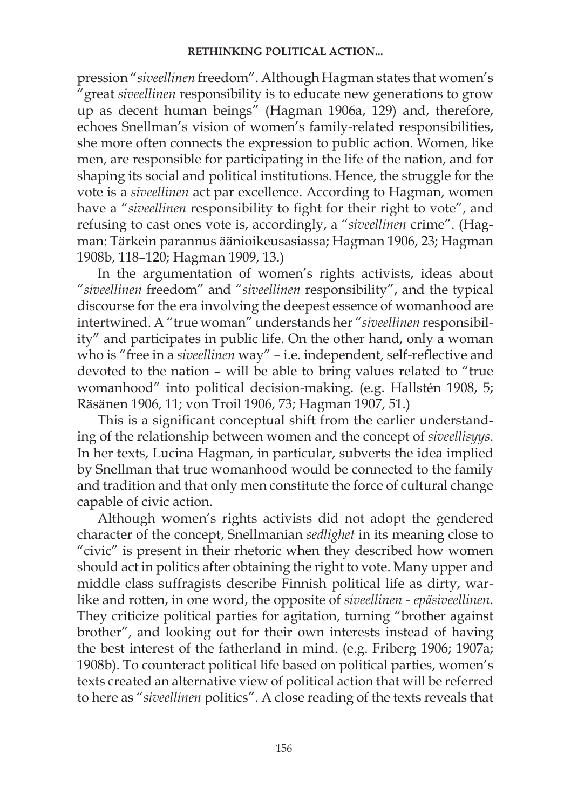pression "*siveellinen* freedom". Although Hagman states that women's "great *siveellinen* responsibility is to educate new generations to grow up as decent human beings" (Hagman 1906a, 129) and, therefore, echoes Snellman's vision of women's family-related responsibilities, she more often connects the expression to public action. Women, like men, are responsible for participating in the life of the nation, and for shaping its social and political institutions. Hence, the struggle for the vote is a *siveellinen* act par excellence. According to Hagman, women have a "*siveellinen* responsibility to fight for their right to vote", and refusing to cast ones vote is, accordingly, a "*siveellinen* crime". (Hagman: Tärkein parannus äänioikeusasiassa; Hagman 1906, 23; Hagman 1908b, 118–120; Hagman 1909, 13.)

In the argumentation of women's rights activists, ideas about "*siveellinen* freedom" and "*siveellinen* responsibility", and the typical discourse for the era involving the deepest essence of womanhood are intertwined. A "true woman" understands her "*siveellinen* responsibility" and participates in public life. On the other hand, only a woman who is "free in a *siveellinen* way" – i.e. independent, self-reflective and devoted to the nation – will be able to bring values related to "true womanhood" into political decision-making. (e.g. Hallstén 1908, 5; Räsänen 1906, 11; von Troil 1906, 73; Hagman 1907, 51.)

This is a significant conceptual shift from the earlier understanding of the relationship between women and the concept of *siveellisyys*. In her texts, Lucina Hagman, in particular, subverts the idea implied by Snellman that true womanhood would be connected to the family and tradition and that only men constitute the force of cultural change capable of civic action.

Although women's rights activists did not adopt the gendered character of the concept, Snellmanian *sedlighet* in its meaning close to "civic" is present in their rhetoric when they described how women should act in politics after obtaining the right to vote. Many upper and middle class suffragists describe Finnish political life as dirty, warlike and rotten, in one word, the opposite of *siveellinen - epäsiveellinen*. They criticize political parties for agitation, turning "brother against brother", and looking out for their own interests instead of having the best interest of the fatherland in mind. (e.g. Friberg 1906; 1907a; 1908b). To counteract political life based on political parties, women's texts created an alternative view of political action that will be referred to here as "*siveellinen* politics". A close reading of the texts reveals that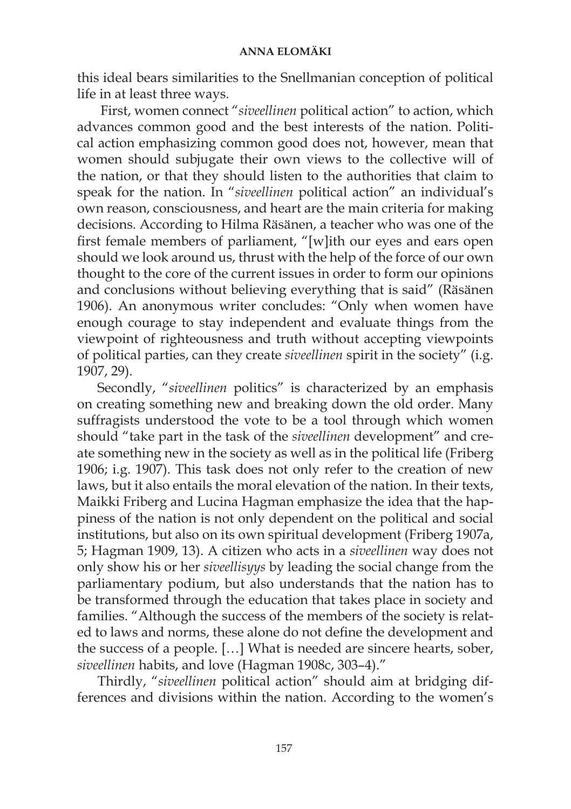this ideal bears similarities to the Snellmanian conception of political life in at least three ways.

 First, women connect "*siveellinen* political action" to action, which advances common good and the best interests of the nation. Political action emphasizing common good does not, however, mean that women should subjugate their own views to the collective will of the nation, or that they should listen to the authorities that claim to speak for the nation. In "*siveellinen* political action" an individual's own reason, consciousness, and heart are the main criteria for making decisions. According to Hilma Räsänen, a teacher who was one of the first female members of parliament, "[w]ith our eyes and ears open should we look around us, thrust with the help of the force of our own thought to the core of the current issues in order to form our opinions and conclusions without believing everything that is said" (Räsänen 1906). An anonymous writer concludes: "Only when women have enough courage to stay independent and evaluate things from the viewpoint of righteousness and truth without accepting viewpoints of political parties, can they create *siveellinen* spirit in the society" (i.g. 1907, 29).

Secondly, "*siveellinen* politics" is characterized by an emphasis on creating something new and breaking down the old order. Many suffragists understood the vote to be a tool through which women should "take part in the task of the *siveellinen* development" and create something new in the society as well as in the political life (Friberg 1906; i.g. 1907). This task does not only refer to the creation of new laws, but it also entails the moral elevation of the nation. In their texts, Maikki Friberg and Lucina Hagman emphasize the idea that the happiness of the nation is not only dependent on the political and social institutions, but also on its own spiritual development (Friberg 1907a, 5; Hagman 1909, 13). A citizen who acts in a *siveellinen* way does not only show his or her *siveellisyys* by leading the social change from the parliamentary podium, but also understands that the nation has to be transformed through the education that takes place in society and families. "Although the success of the members of the society is related to laws and norms, these alone do not define the development and the success of a people. […] What is needed are sincere hearts, sober, *siveellinen* habits, and love (Hagman 1908c, 303–4)."

Thirdly, "*siveellinen* political action" should aim at bridging differences and divisions within the nation. According to the women's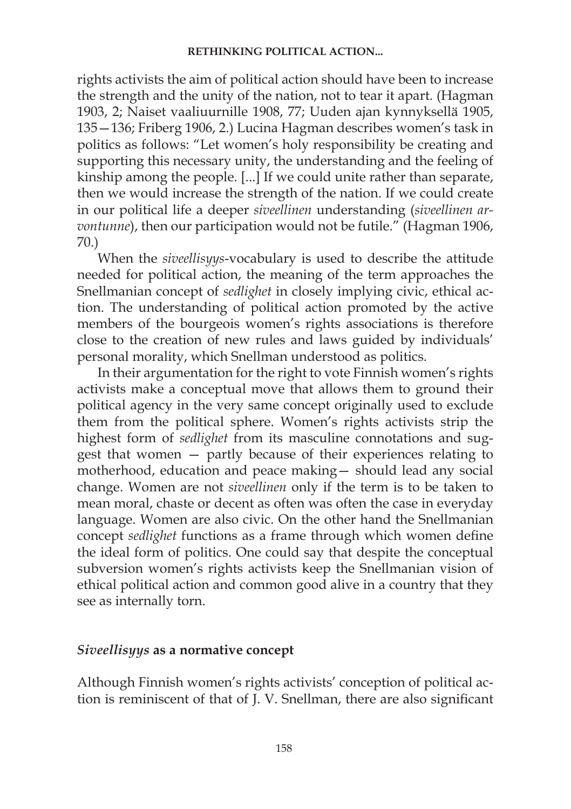rights activists the aim of political action should have been to increase the strength and the unity of the nation, not to tear it apart. (Hagman 1903, 2; Naiset vaaliuurnille 1908, 77; Uuden ajan kynnyksellä 1905, 135—136; Friberg 1906, 2.) Lucina Hagman describes women's task in politics as follows: "Let women's holy responsibility be creating and supporting this necessary unity, the understanding and the feeling of kinship among the people. [...] If we could unite rather than separate, then we would increase the strength of the nation. If we could create in our political life a deeper *siveellinen* understanding (*siveellinen arvontunne*), then our participation would not be futile." (Hagman 1906, 70.)

When the *siveellisyys*-vocabulary is used to describe the attitude needed for political action, the meaning of the term approaches the Snellmanian concept of *sedlighet* in closely implying civic, ethical action. The understanding of political action promoted by the active members of the bourgeois women's rights associations is therefore close to the creation of new rules and laws guided by individuals' personal morality, which Snellman understood as politics.

In their argumentation for the right to vote Finnish women's rights activists make a conceptual move that allows them to ground their political agency in the very same concept originally used to exclude them from the political sphere. Women's rights activists strip the highest form of *sedlighet* from its masculine connotations and suggest that women — partly because of their experiences relating to motherhood, education and peace making— should lead any social change. Women are not *siveellinen* only if the term is to be taken to mean moral, chaste or decent as often was often the case in everyday language. Women are also civic. On the other hand the Snellmanian concept *sedlighet* functions as a frame through which women define the ideal form of politics. One could say that despite the conceptual subversion women's rights activists keep the Snellmanian vision of ethical political action and common good alive in a country that they see as internally torn.

# *Siveellisyys* **as a normative concept**

Although Finnish women's rights activists' conception of political action is reminiscent of that of J. V. Snellman, there are also significant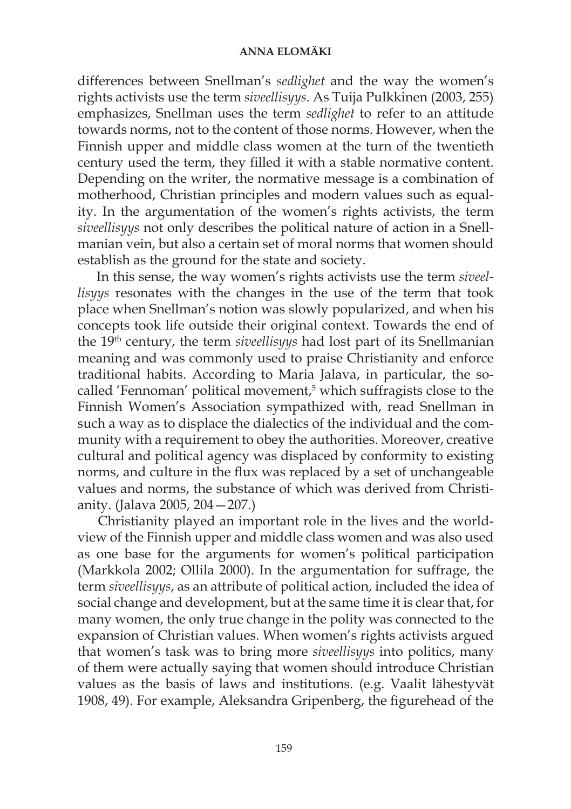differences between Snellman's *sedlighet* and the way the women's rights activists use the term *siveellisyys*. As Tuija Pulkkinen (2003, 255) emphasizes, Snellman uses the term *sedlighet* to refer to an attitude towards norms, not to the content of those norms. However, when the Finnish upper and middle class women at the turn of the twentieth century used the term, they filled it with a stable normative content. Depending on the writer, the normative message is a combination of motherhood, Christian principles and modern values such as equality. In the argumentation of the women's rights activists, the term *siveellisyys* not only describes the political nature of action in a Snellmanian vein, but also a certain set of moral norms that women should establish as the ground for the state and society.

In this sense, the way women's rights activists use the term *siveellisyys* resonates with the changes in the use of the term that took place when Snellman's notion was slowly popularized, and when his concepts took life outside their original context. Towards the end of the 19th century, the term *siveellisyys* had lost part of its Snellmanian meaning and was commonly used to praise Christianity and enforce traditional habits. According to Maria Jalava, in particular, the socalled 'Fennoman' political movement,<sup>5</sup> which suffragists close to the Finnish Women's Association sympathized with, read Snellman in such a way as to displace the dialectics of the individual and the community with a requirement to obey the authorities. Moreover, creative cultural and political agency was displaced by conformity to existing norms, and culture in the flux was replaced by a set of unchangeable values and norms, the substance of which was derived from Christianity. (Jalava 2005, 204—207.)

Christianity played an important role in the lives and the worldview of the Finnish upper and middle class women and was also used as one base for the arguments for women's political participation (Markkola 2002; Ollila 2000). In the argumentation for suffrage, the term *siveellisyys*, as an attribute of political action, included the idea of social change and development, but at the same time it is clear that, for many women, the only true change in the polity was connected to the expansion of Christian values. When women's rights activists argued that women's task was to bring more *siveellisyys* into politics, many of them were actually saying that women should introduce Christian values as the basis of laws and institutions. (e.g. Vaalit lähestyvät 1908, 49). For example, Aleksandra Gripenberg, the figurehead of the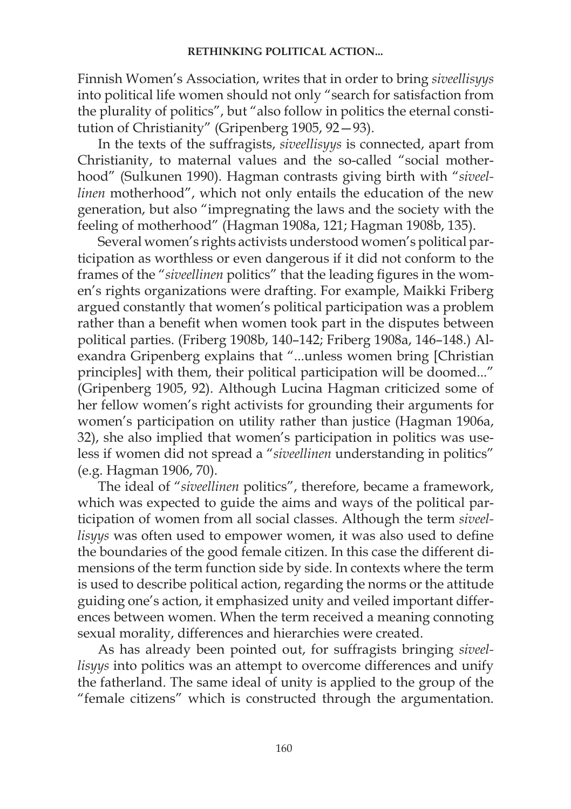Finnish Women's Association, writes that in order to bring *siveellisyys* into political life women should not only "search for satisfaction from the plurality of politics", but "also follow in politics the eternal constitution of Christianity" (Gripenberg 1905, 92—93).

In the texts of the suffragists, *siveellisyys* is connected, apart from Christianity, to maternal values and the so-called "social motherhood" (Sulkunen 1990). Hagman contrasts giving birth with "*siveellinen* motherhood", which not only entails the education of the new generation, but also "impregnating the laws and the society with the feeling of motherhood" (Hagman 1908a, 121; Hagman 1908b, 135).

Several women's rights activists understood women's political participation as worthless or even dangerous if it did not conform to the frames of the "*siveellinen* politics" that the leading figures in the women's rights organizations were drafting. For example, Maikki Friberg argued constantly that women's political participation was a problem rather than a benefit when women took part in the disputes between political parties. (Friberg 1908b, 140–142; Friberg 1908a, 146–148.) Alexandra Gripenberg explains that "...unless women bring [Christian principles] with them, their political participation will be doomed..." (Gripenberg 1905, 92). Although Lucina Hagman criticized some of her fellow women's right activists for grounding their arguments for women's participation on utility rather than justice (Hagman 1906a, 32), she also implied that women's participation in politics was useless if women did not spread a "*siveellinen* understanding in politics" (e.g. Hagman 1906, 70).

The ideal of "*siveellinen* politics", therefore, became a framework, which was expected to guide the aims and ways of the political participation of women from all social classes. Although the term *siveellisyys* was often used to empower women, it was also used to define the boundaries of the good female citizen. In this case the different dimensions of the term function side by side. In contexts where the term is used to describe political action, regarding the norms or the attitude guiding one's action, it emphasized unity and veiled important differences between women. When the term received a meaning connoting sexual morality, differences and hierarchies were created.

As has already been pointed out, for suffragists bringing *siveellisyys* into politics was an attempt to overcome differences and unify the fatherland. The same ideal of unity is applied to the group of the "female citizens" which is constructed through the argumentation.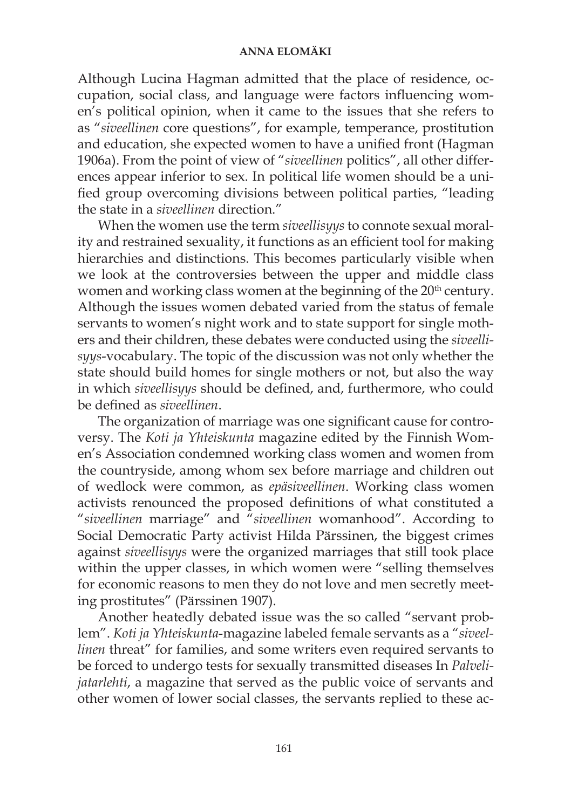Although Lucina Hagman admitted that the place of residence, occupation, social class, and language were factors influencing women's political opinion, when it came to the issues that she refers to as "*siveellinen* core questions", for example, temperance, prostitution and education, she expected women to have a unified front (Hagman 1906a). From the point of view of "*siveellinen* politics", all other differences appear inferior to sex. In political life women should be a unified group overcoming divisions between political parties, "leading the state in a *siveellinen* direction."

When the women use the term *siveellisyys* to connote sexual morality and restrained sexuality, it functions as an efficient tool for making hierarchies and distinctions. This becomes particularly visible when we look at the controversies between the upper and middle class women and working class women at the beginning of the 20<sup>th</sup> century. Although the issues women debated varied from the status of female servants to women's night work and to state support for single mothers and their children, these debates were conducted using the *siveellisyys*-vocabulary. The topic of the discussion was not only whether the state should build homes for single mothers or not, but also the way in which *siveellisyys* should be defined, and, furthermore, who could be defined as *siveellinen*.

The organization of marriage was one significant cause for controversy. The *Koti ja Yhteiskunta* magazine edited by the Finnish Women's Association condemned working class women and women from the countryside, among whom sex before marriage and children out of wedlock were common, as *epäsiveellinen*. Working class women activists renounced the proposed definitions of what constituted a "*siveellinen* marriage" and "*siveellinen* womanhood". According to Social Democratic Party activist Hilda Pärssinen, the biggest crimes against *siveellisyys* were the organized marriages that still took place within the upper classes, in which women were "selling themselves for economic reasons to men they do not love and men secretly meeting prostitutes" (Pärssinen 1907).

Another heatedly debated issue was the so called "servant problem". *Koti ja Yhteiskunta*-magazine labeled female servants as a "*siveellinen* threat" for families, and some writers even required servants to be forced to undergo tests for sexually transmitted diseases In *Palvelijatarlehti*, a magazine that served as the public voice of servants and other women of lower social classes, the servants replied to these ac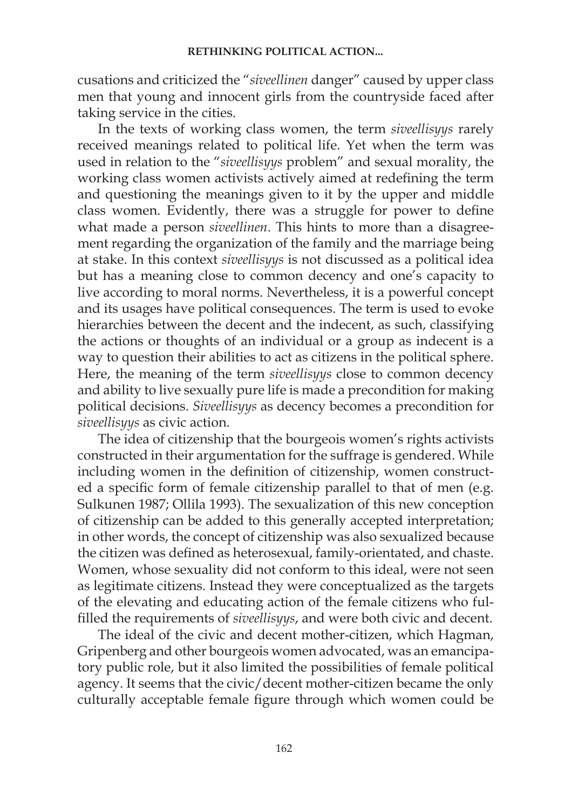cusations and criticized the "*siveellinen* danger" caused by upper class men that young and innocent girls from the countryside faced after taking service in the cities.

In the texts of working class women, the term *siveellisyys* rarely received meanings related to political life. Yet when the term was used in relation to the "*siveellisyys* problem" and sexual morality, the working class women activists actively aimed at redefining the term and questioning the meanings given to it by the upper and middle class women. Evidently, there was a struggle for power to define what made a person *siveellinen*. This hints to more than a disagreement regarding the organization of the family and the marriage being at stake. In this context *siveellisyys* is not discussed as a political idea but has a meaning close to common decency and one's capacity to live according to moral norms. Nevertheless, it is a powerful concept and its usages have political consequences. The term is used to evoke hierarchies between the decent and the indecent, as such, classifying the actions or thoughts of an individual or a group as indecent is a way to question their abilities to act as citizens in the political sphere. Here, the meaning of the term *siveellisyys* close to common decency and ability to live sexually pure life is made a precondition for making political decisions. *Siveellisyys* as decency becomes a precondition for *siveellisyys* as civic action.

The idea of citizenship that the bourgeois women's rights activists constructed in their argumentation for the suffrage is gendered. While including women in the definition of citizenship, women constructed a specific form of female citizenship parallel to that of men (e.g. Sulkunen 1987; Ollila 1993). The sexualization of this new conception of citizenship can be added to this generally accepted interpretation; in other words, the concept of citizenship was also sexualized because the citizen was defined as heterosexual, family-orientated, and chaste. Women, whose sexuality did not conform to this ideal, were not seen as legitimate citizens. Instead they were conceptualized as the targets of the elevating and educating action of the female citizens who fulfilled the requirements of *siveellisyys*, and were both civic and decent.

The ideal of the civic and decent mother-citizen, which Hagman, Gripenberg and other bourgeois women advocated, was an emancipatory public role, but it also limited the possibilities of female political agency. It seems that the civic/decent mother-citizen became the only culturally acceptable female figure through which women could be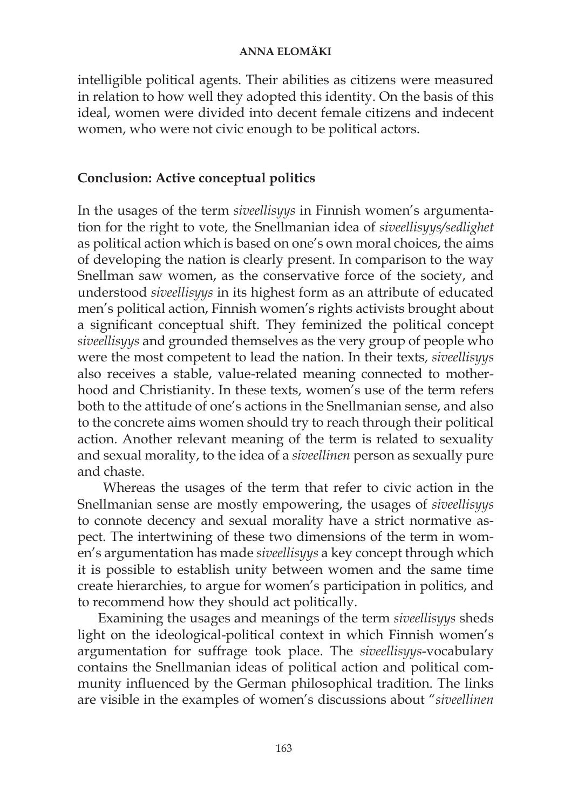intelligible political agents. Their abilities as citizens were measured in relation to how well they adopted this identity. On the basis of this ideal, women were divided into decent female citizens and indecent women, who were not civic enough to be political actors.

# **Conclusion: Active conceptual politics**

In the usages of the term *siveellisyys* in Finnish women's argumentation for the right to vote, the Snellmanian idea of *siveellisyys/sedlighet* as political action which is based on one's own moral choices, the aims of developing the nation is clearly present. In comparison to the way Snellman saw women, as the conservative force of the society, and understood *siveellisyys* in its highest form as an attribute of educated men's political action, Finnish women's rights activists brought about a significant conceptual shift. They feminized the political concept *siveellisyys* and grounded themselves as the very group of people who were the most competent to lead the nation. In their texts, *siveellisyys*  also receives a stable, value-related meaning connected to motherhood and Christianity. In these texts, women's use of the term refers both to the attitude of one's actions in the Snellmanian sense, and also to the concrete aims women should try to reach through their political action. Another relevant meaning of the term is related to sexuality and sexual morality, to the idea of a *siveellinen* person as sexually pure and chaste.

 Whereas the usages of the term that refer to civic action in the Snellmanian sense are mostly empowering, the usages of *siveellisyys*  to connote decency and sexual morality have a strict normative aspect. The intertwining of these two dimensions of the term in women's argumentation has made *siveellisyys* a key concept through which it is possible to establish unity between women and the same time create hierarchies, to argue for women's participation in politics, and to recommend how they should act politically.

Examining the usages and meanings of the term *siveellisyys* sheds light on the ideological-political context in which Finnish women's argumentation for suffrage took place. The *siveellisyys*-vocabulary contains the Snellmanian ideas of political action and political community influenced by the German philosophical tradition. The links are visible in the examples of women's discussions about "*siveellinen*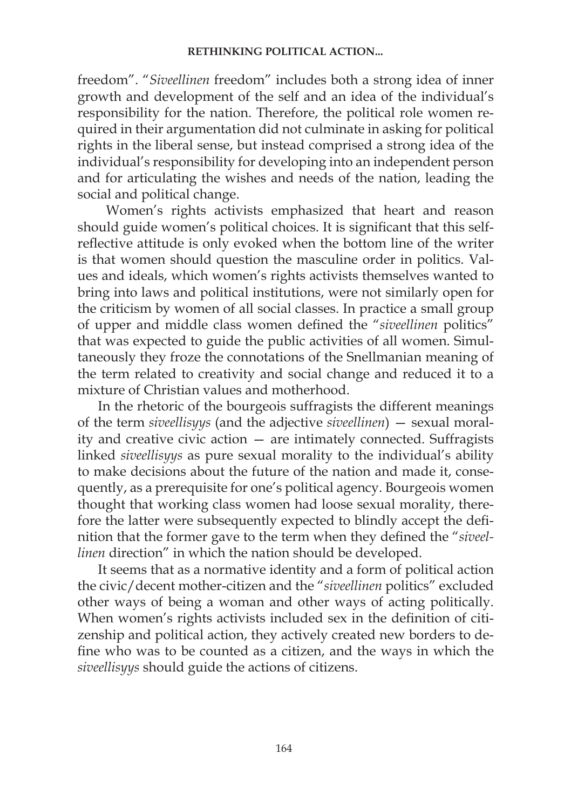freedom". "*Siveellinen* freedom" includes both a strong idea of inner growth and development of the self and an idea of the individual's responsibility for the nation. Therefore, the political role women required in their argumentation did not culminate in asking for political rights in the liberal sense, but instead comprised a strong idea of the individual's responsibility for developing into an independent person and for articulating the wishes and needs of the nation, leading the social and political change.

 Women's rights activists emphasized that heart and reason should guide women's political choices. It is significant that this selfreflective attitude is only evoked when the bottom line of the writer is that women should question the masculine order in politics. Values and ideals, which women's rights activists themselves wanted to bring into laws and political institutions, were not similarly open for the criticism by women of all social classes. In practice a small group of upper and middle class women defined the "*siveellinen* politics" that was expected to guide the public activities of all women. Simultaneously they froze the connotations of the Snellmanian meaning of the term related to creativity and social change and reduced it to a mixture of Christian values and motherhood.

In the rhetoric of the bourgeois suffragists the different meanings of the term *siveellisyys* (and the adjective *siveellinen*) — sexual morality and creative civic action — are intimately connected. Suffragists linked *siveellisyys* as pure sexual morality to the individual's ability to make decisions about the future of the nation and made it, consequently, as a prerequisite for one's political agency. Bourgeois women thought that working class women had loose sexual morality, therefore the latter were subsequently expected to blindly accept the definition that the former gave to the term when they defined the "*siveellinen* direction" in which the nation should be developed.

It seems that as a normative identity and a form of political action the civic/decent mother-citizen and the "*siveellinen* politics" excluded other ways of being a woman and other ways of acting politically. When women's rights activists included sex in the definition of citizenship and political action, they actively created new borders to define who was to be counted as a citizen, and the ways in which the *siveellisyys* should guide the actions of citizens.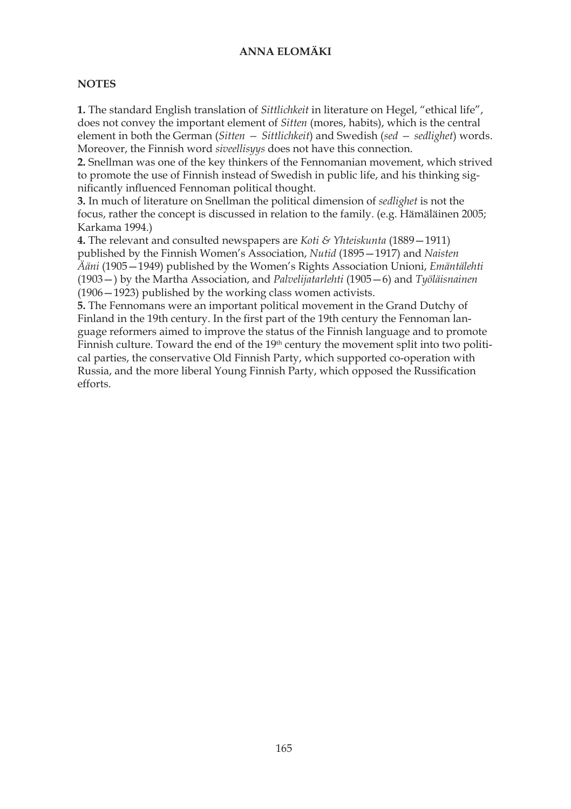#### **NOTES**

**1.** The standard English translation of *Sittlichkeit* in literature on Hegel, "ethical life", does not convey the important element of *Sitten* (mores, habits), which is the central element in both the German (*Sitten — Sittlichkeit*) and Swedish (*sed — sedlighet*) words. Moreover, the Finnish word *siveellisyys* does not have this connection.

**2.** Snellman was one of the key thinkers of the Fennomanian movement, which strived to promote the use of Finnish instead of Swedish in public life, and his thinking significantly influenced Fennoman political thought.

**3.** In much of literature on Snellman the political dimension of *sedlighet* is not the focus, rather the concept is discussed in relation to the family. (e.g. Hämäläinen 2005; Karkama 1994.)

**4.** The relevant and consulted newspapers are *Koti & Yhteiskunta* (1889—1911) published by the Finnish Women's Association, *Nutid* (1895—1917) and *Naisten Ääni* (1905—1949) published by the Women's Rights Association Unioni, *Emäntälehti*  (1903—) by the Martha Association, and *Palvelijatarlehti* (1905—6) and *Työläisnainen*  (1906—1923) published by the working class women activists.

**5.** The Fennomans were an important political movement in the Grand Dutchy of Finland in the 19th century. In the first part of the 19th century the Fennoman language reformers aimed to improve the status of the Finnish language and to promote Finnish culture. Toward the end of the 19<sup>th</sup> century the movement split into two political parties, the conservative Old Finnish Party, which supported co-operation with Russia, and the more liberal Young Finnish Party, which opposed the Russification efforts.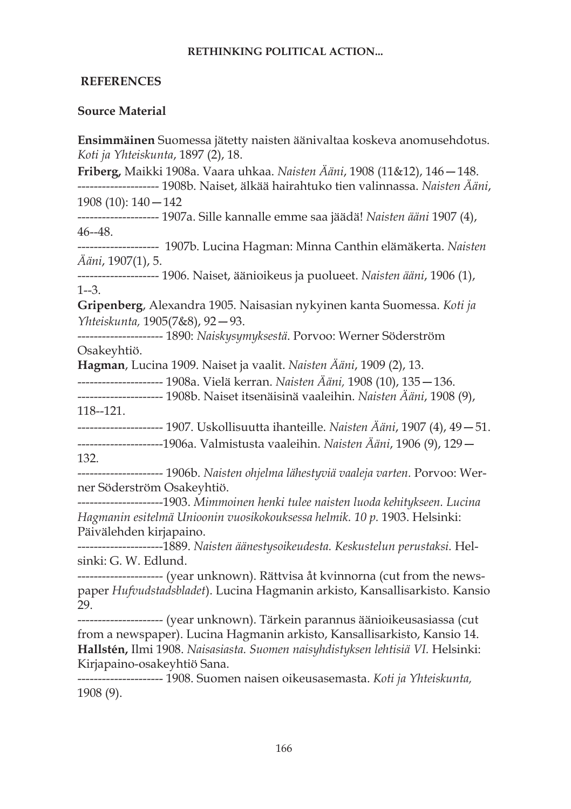#### **RETHINKING POLITICAL ACTION...**

### **REFERENCES**

### **Source Material**

**Ensimmäinen** Suomessa jätetty naisten äänivaltaa koskeva anomusehdotus. *Koti ja Yhteiskunta*, 1897 (2), 18. **Friberg,** Maikki 1908a. Vaara uhkaa. *Naisten Ääni*, 1908 (11&12), 146—148. -------------------- 1908b. Naiset, älkää hairahtuko tien valinnassa. *Naisten Ääni*, 1908 (10): 140—142 -------------------- 1907a. Sille kannalle emme saa jäädä! *Naisten ääni* 1907 (4), 46--48. -------------------- 1907b. Lucina Hagman: Minna Canthin elämäkerta. *Naisten Ääni*, 1907(1), 5. -------------------- 1906. Naiset, äänioikeus ja puolueet. *Naisten ääni*, 1906 (1), 1--3. **Gripenberg**, Alexandra 1905. Naisasian nykyinen kanta Suomessa. *Koti ja Yhteiskunta,* 1905(7&8), 92—93. --------------------- 1890: *Naiskysymyksestä*. Porvoo: Werner Söderström Osakeyhtiö. **Hagman**, Lucina 1909. Naiset ja vaalit. *Naisten Ääni*, 1909 (2), 13. --------------------- 1908a. Vielä kerran. *Naisten Ääni,* 1908 (10), 135—136. --------------------- 1908b. Naiset itsenäisinä vaaleihin. *Naisten Ääni*, 1908 (9), 118--121. --------------------- 1907. Uskollisuutta ihanteille. *Naisten Ääni*, 1907 (4), 49—51. ---------------------1906a. Valmistusta vaaleihin. *Naisten Ääni*, 1906 (9), 129— 132. --------------------- 1906b. *Naisten ohjelma lähestyviä vaaleja varten.* Porvoo: Werner Söderström Osakeyhtiö. ---------------------1903. *Mimmoinen henki tulee naisten luoda kehitykseen. Lucina Hagmanin esitelmä Unioonin vuosikokouksessa helmik. 10 p.* 1903. Helsinki: Päivälehden kirjapaino. ---------------------1889. *Naisten äänestysoikeudesta. Keskustelun perustaksi.* Helsinki: G. W. Edlund. --------------------- (year unknown). Rättvisa åt kvinnorna (cut from the newspaper *Hufvudstadsbladet*). Lucina Hagmanin arkisto, Kansallisarkisto. Kansio 29. --------------------- (year unknown). Tärkein parannus äänioikeusasiassa (cut from a newspaper). Lucina Hagmanin arkisto, Kansallisarkisto, Kansio 14. **Hallstén,** Ilmi 1908. *Naisasiasta. Suomen naisyhdistyksen lehtisiä VI.* Helsinki: Kirjapaino-osakeyhtiö Sana. --------------------- 1908. Suomen naisen oikeusasemasta. *Koti ja Yhteiskunta,*  1908 (9).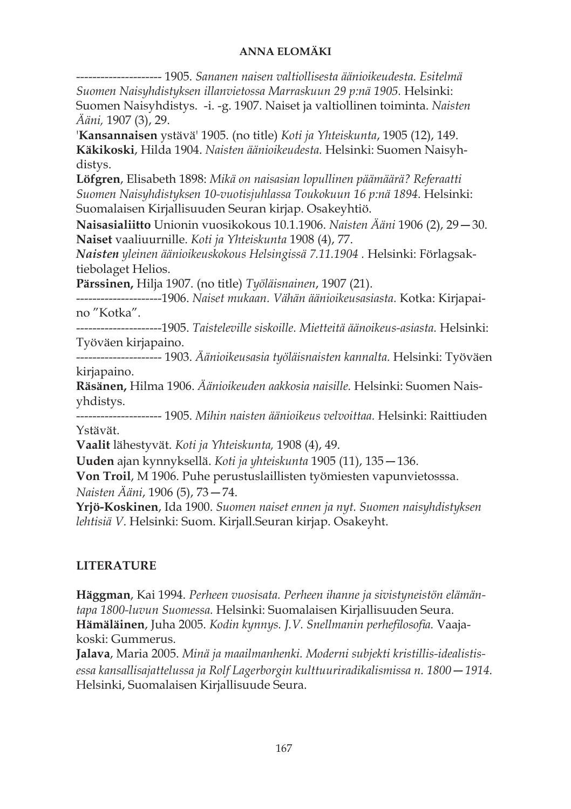--------------------- 1905. *Sananen naisen valtiollisesta äänioikeudesta. Esitelmä Suomen Naisyhdistyksen illanvietossa Marraskuun 29 p:nä 1905.* Helsinki: Suomen Naisyhdistys. -i. -g. 1907. Naiset ja valtiollinen toiminta. *Naisten Ääni,* 1907 (3), 29.

'**Kansannaisen** ystävä' 1905. (no title) *Koti ja Yhteiskunta*, 1905 (12), 149. **Käkikoski**, Hilda 1904. *Naisten äänioikeudesta.* Helsinki: Suomen Naisyhdistys.

**Löfgren**, Elisabeth 1898: *Mikä on naisasian lopullinen päämäärä? Referaatti Suomen Naisyhdistyksen 10-vuotisjuhlassa Toukokuun 16 p:nä 1894.* Helsinki: Suomalaisen Kirjallisuuden Seuran kirjap. Osakeyhtiö.

**Naisasialiitto** Unionin vuosikokous 10.1.1906. *Naisten Ääni* 1906 (2), 29—30. **Naiset** vaaliuurnille. *Koti ja Yhteiskunta* 1908 (4), 77.

*Naisten yleinen äänioikeuskokous Helsingissä 7.11.1904 .* Helsinki: Förlagsaktiebolaget Helios.

**Pärssinen,** Hilja 1907. (no title) *Työläisnainen*, 1907 (21).

---------------------1906. *Naiset mukaan. Vähän äänioikeusasiasta.* Kotka: Kirjapaino "Kotka".

---------------------1905. *Taisteleville siskoille. Mietteitä äänoikeus-asiasta.* Helsinki: Työväen kirjapaino.

--------------------- 1903. *Äänioikeusasia työläisnaisten kannalta.* Helsinki: Työväen kirjapaino.

**Räsänen,** Hilma 1906. *Äänioikeuden aakkosia naisille.* Helsinki: Suomen Naisyhdistys.

--------------------- 1905. *Mihin naisten äänioikeus velvoittaa.* Helsinki: Raittiuden Ystävät.

**Vaalit** lähestyvät. *Koti ja Yhteiskunta,* 1908 (4), 49.

**Uuden** ajan kynnyksellä. *Koti ja yhteiskunta* 1905 (11), 135—136.

**Von Troil**, M 1906. Puhe perustuslaillisten työmiesten vapunvietosssa. *Naisten Ääni*, 1906 (5), 73—74.

**Yrjö-Koskinen**, Ida 1900. *Suomen naiset ennen ja nyt. Suomen naisyhdistyksen lehtisiä V*. Helsinki: Suom. Kirjall.Seuran kirjap. Osakeyht.

# **LITERATURE**

**Häggman**, Kai 1994. *Perheen vuosisata. Perheen ihanne ja sivistyneistön elämäntapa 1800-luvun Suomessa.* Helsinki: Suomalaisen Kirjallisuuden Seura. **Hämäläinen**, Juha 2005. *Kodin kynnys. J.V. Snellmanin perhefilosofia.* Vaajakoski: Gummerus.

**Jalava**, Maria 2005. *Minä ja maailmanhenki. Moderni subjekti kristillis-idealistisessa kansallisajattelussa ja Rolf Lagerborgin kulttuuriradikalismissa n. 1800*—*1914.*  Helsinki, Suomalaisen Kirjallisuude Seura.